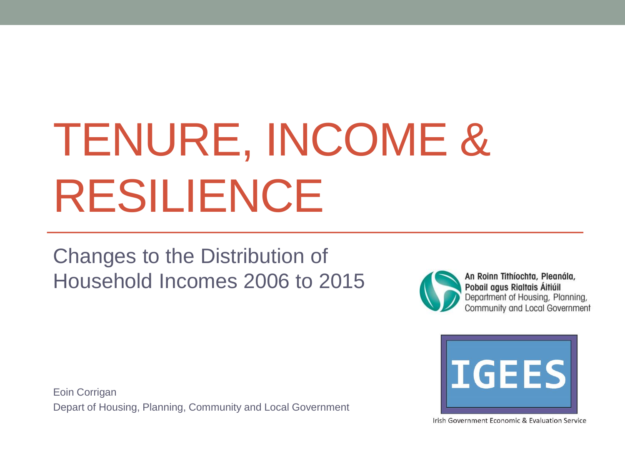# TENURE, INCOME & RESILIENCE

#### Changes to the Distribution of Household Incomes 2006 to 2015

Eoin Corrigan



An Roinn Tithíochta, Pleanála, Pobail agus Rialtais Áitiúil Department of Housing, Planning, Community and Local Government



Depart of Housing, Planning, Community and Local Government

Irish Government Economic & Evaluation Service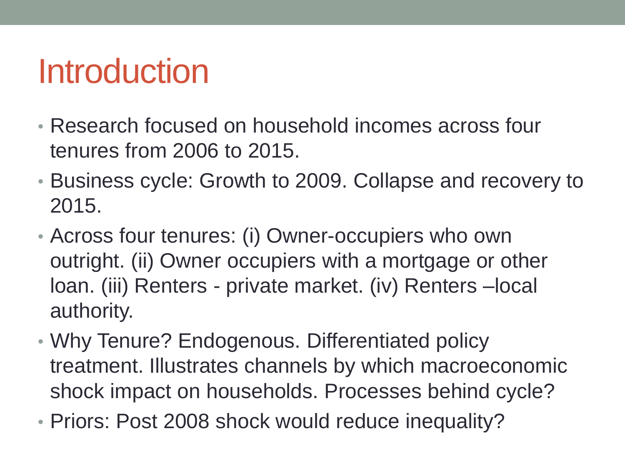### Introduction

- Research focused on household incomes across four tenures from 2006 to 2015.
- Business cycle: Growth to 2009. Collapse and recovery to 2015.
- Across four tenures: (i) Owner-occupiers who own outright. (ii) Owner occupiers with a mortgage or other loan. (iii) Renters - private market. (iv) Renters –local authority.
- Why Tenure? Endogenous. Differentiated policy treatment. Illustrates channels by which macroeconomic shock impact on households. Processes behind cycle?
- Priors: Post 2008 shock would reduce inequality?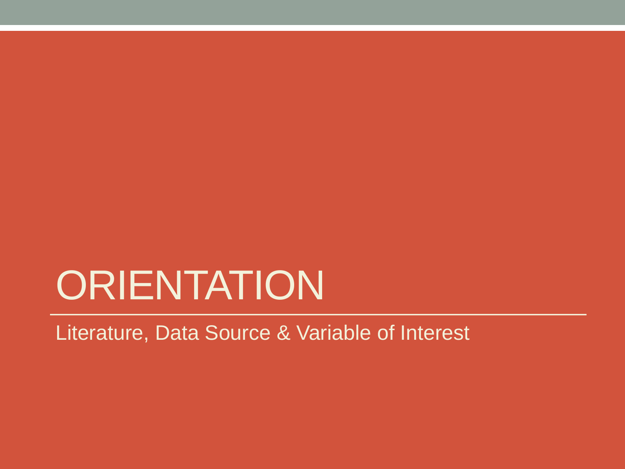## **ORIENTATION**

Literature, Data Source & Variable of Interest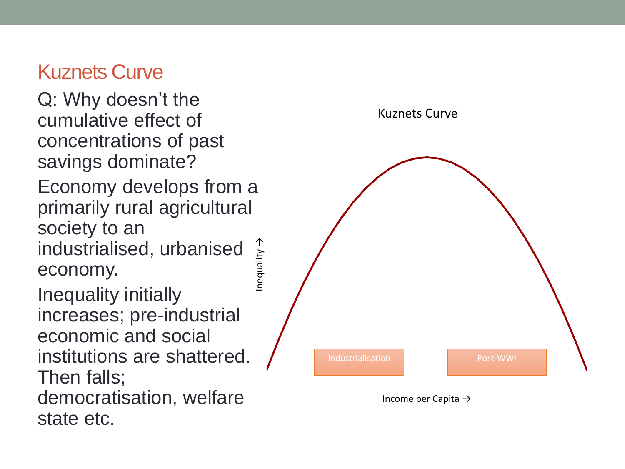#### Kuznets Curve

Q: Why doesn't the cumulative effect of concentrations of past savings dominate?

Economy develops from a primarily rural agricultural society to an →

industrialised, urbanised economy.

Inequality

Inequality initially increases; pre-industrial economic and social institutions are shattered. Then falls; democratisation, welfare state etc.



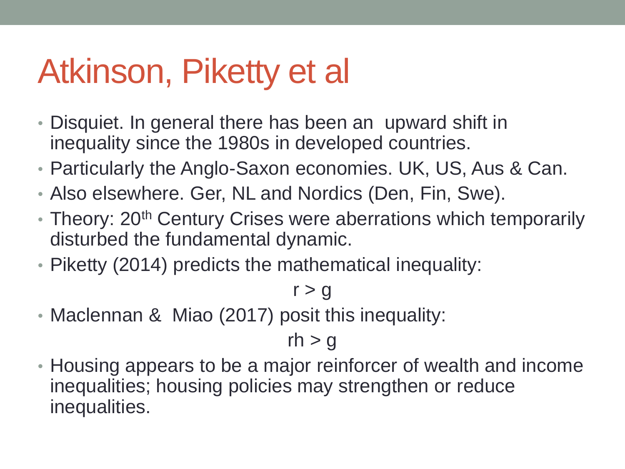## Atkinson, Piketty et al

- Disquiet. In general there has been an upward shift in inequality since the 1980s in developed countries.
- Particularly the Anglo-Saxon economies. UK, US, Aus & Can.
- Also elsewhere. Ger, NL and Nordics (Den, Fin, Swe).
- Theory: 20<sup>th</sup> Century Crises were aberrations which temporarily disturbed the fundamental dynamic.
- Piketty (2014) predicts the mathematical inequality:

#### $r > g$

• Maclennan & Miao (2017) posit this inequality:

#### $rh > g$

• Housing appears to be a major reinforcer of wealth and income inequalities; housing policies may strengthen or reduce inequalities.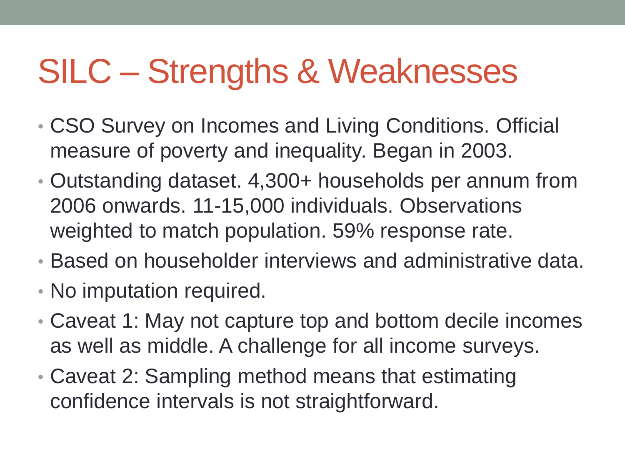## SILC – Strengths & Weaknesses

- CSO Survey on Incomes and Living Conditions. Official measure of poverty and inequality. Began in 2003.
- Outstanding dataset. 4,300+ households per annum from 2006 onwards. 11-15,000 individuals. Observations weighted to match population. 59% response rate.
- Based on householder interviews and administrative data.
- No imputation required.
- Caveat 1: May not capture top and bottom decile incomes as well as middle. A challenge for all income surveys.
- Caveat 2: Sampling method means that estimating confidence intervals is not straightforward.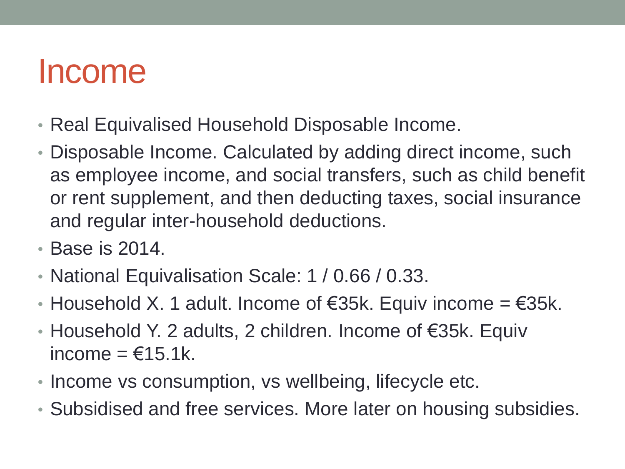### Income

- Real Equivalised Household Disposable Income.
- Disposable Income. Calculated by adding direct income, such as employee income, and social transfers, such as child benefit or rent supplement, and then deducting taxes, social insurance and regular inter-household deductions.
- Base is 2014.
- National Equivalisation Scale: 1 / 0.66 / 0.33.
- Household X. 1 adult. Income of  $\epsilon$ 35k. Equiv income =  $\epsilon$ 35k.
- Household Y. 2 adults, 2 children. Income of €35k. Equiv income  $=$   $\epsilon$ 15.1k.
- Income vs consumption, vs wellbeing, lifecycle etc.
- Subsidised and free services. More later on housing subsidies.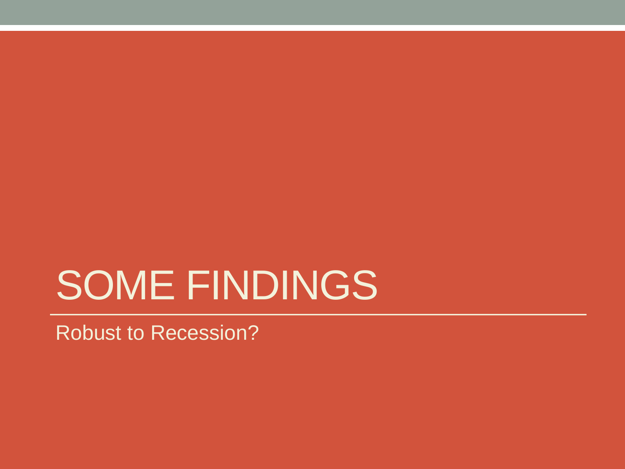## SOME FINDINGS

Robust to Recession?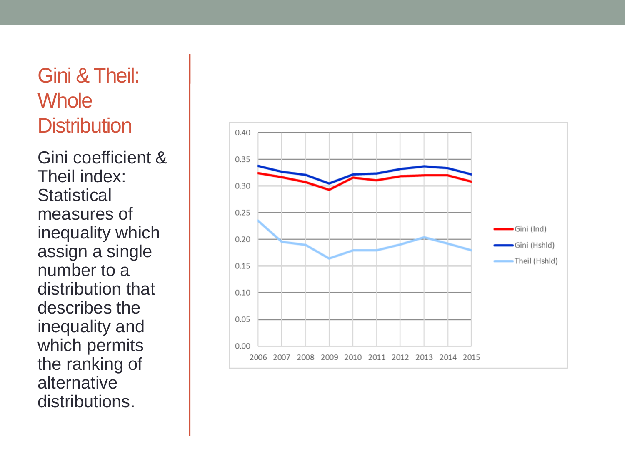#### Gini & Theil: **Whole Distribution**

Gini coefficient & Theil index: **Statistical** measures of inequality which assign a single number to a distribution that describes the inequality and which permits the ranking of alternative distributions.

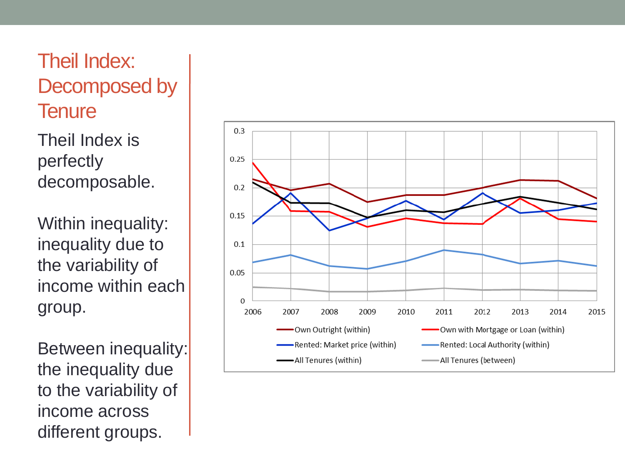#### Theil Index: Decomposed by **Tenure**

Theil Index is perfectly decomposable.

Within inequality: inequality due to the variability of income within each group.

Between inequality: the inequality due to the variability of income across different groups.

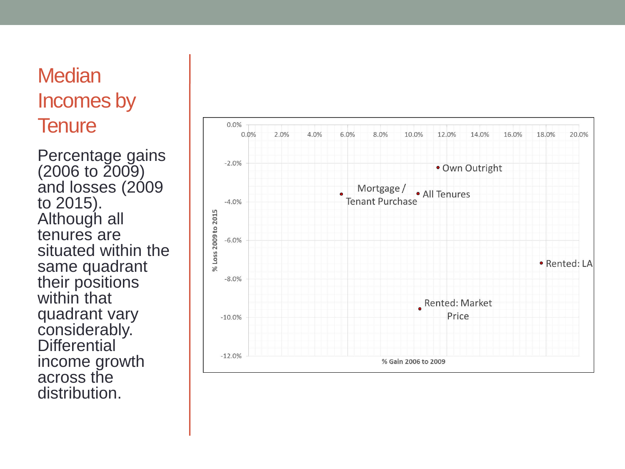#### **Median** Incomes by **Tenure**

Percentage gains (2006 to 2009) and losses (2009) to 2015). Although all tenures are situated within the same quadrant their positions within that quadrant vary considerably. **Differential** income growth across the distribution.

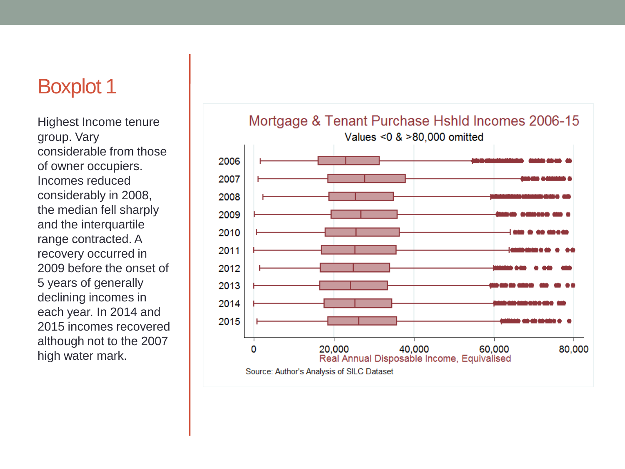#### Boxplot 1

Highest Income tenure group. Vary considerable from those of owner occupiers. Incomes reduced considerably in 2008, the median fell sharply and the interquartile range contracted. A recovery occurred in 2009 before the onset of 5 years of generally declining incomes in each year. In 2014 and 2015 incomes recovered although not to the 2007 high water mark.



#### Mortgage & Tenant Purchase Hshld Incomes 2006-15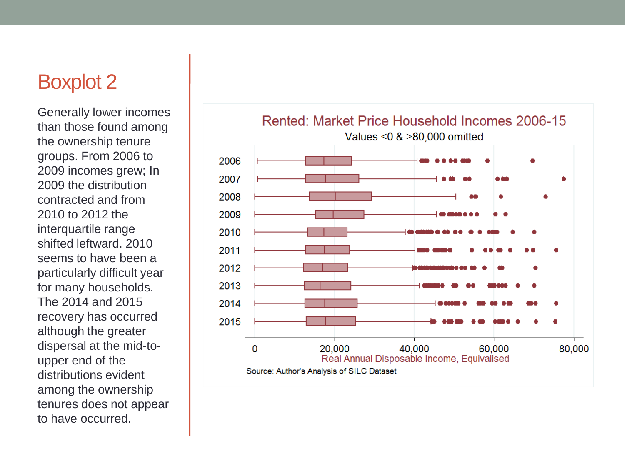#### Boxplot 2

Generally lower incomes than those found among the ownership tenure groups. From 2006 to 2009 incomes grew; In 2009 the distribution contracted and from 2010 to 2012 the interquartile range shifted leftward. 2010 seems to have been a particularly difficult year for many households. The 2014 and 2015 recovery has occurred although the greater dispersal at the mid-toupper end of the distributions evident among the ownership tenures does not appear to have occurred.

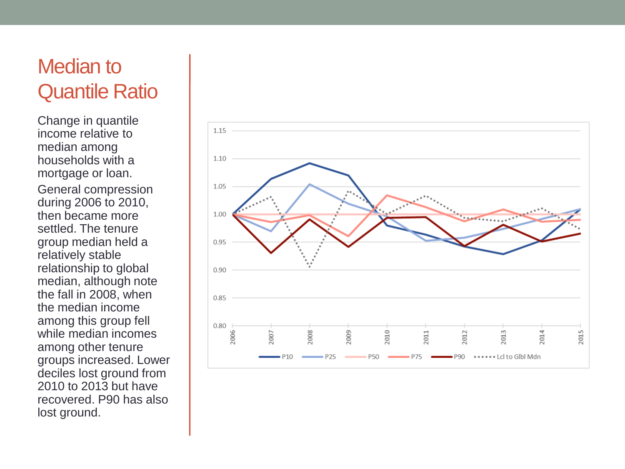#### Median to Quantile Ratio

Change in quantile income relative to median among households with a mortgage or loan. General compression during 2006 to 2010, then became more settled. The tenure group median held a relatively stable relationship to global median, although note the fall in 2008, when the median income among this group fell while median incomes among other tenure groups increased. Lower deciles lost ground from 2010 to 2013 but have recovered. P90 has also lost ground.

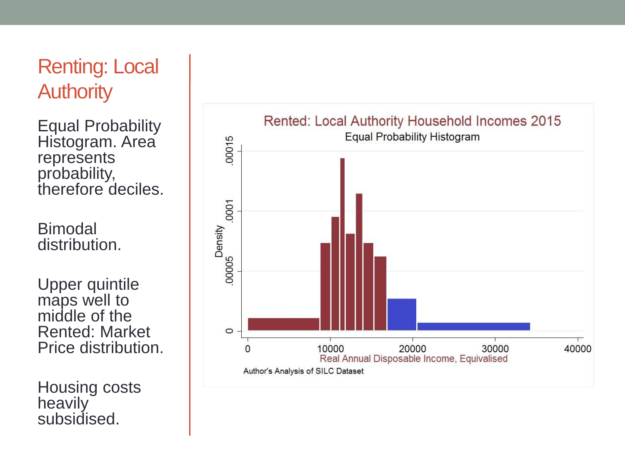#### Renting: Local **Authority**

Equal Probability Histogram. Area represents probability, therefore deciles.

Bimodal distribution.

Upper quintile maps well to middle of the Rented: Market Price distribution.

Housing costs heavily subsidised.

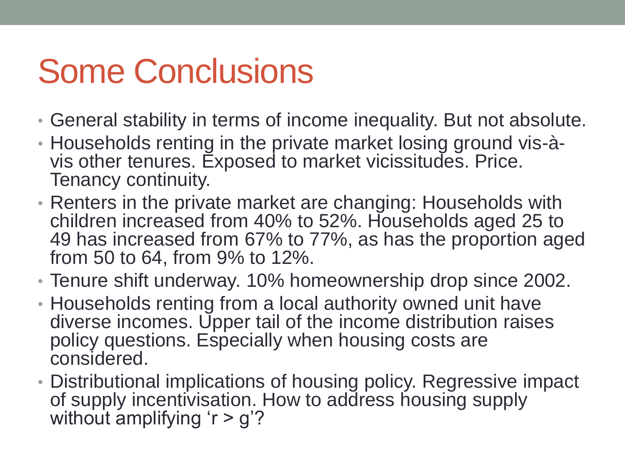## Some Conclusions

- General stability in terms of income inequality. But not absolute.
- Households renting in the private market losing ground vis-àvis other tenures. Exposed to market vicissitudes. Price. Tenancy continuity.
- Renters in the private market are changing: Households with children increased from 40% to 52%. Households aged 25 to 49 has increased from 67% to 77%, as has the proportion aged from 50 to 64, from 9% to 12%.
- Tenure shift underway. 10% homeownership drop since 2002.
- Households renting from a local authority owned unit have diverse incomes. Upper tail of the income distribution raises policy questions. Especially when housing costs are considered.
- Distributional implications of housing policy. Regressive impact of supply incentivisation. How to address housing supply without amplifying 'r > g'?